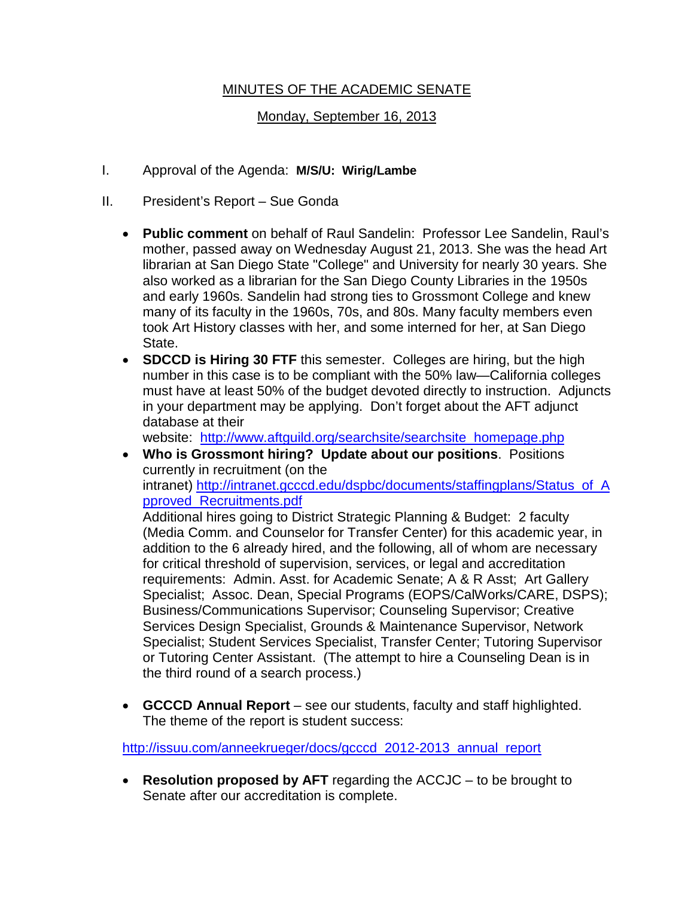# MINUTES OF THE ACADEMIC SENATE

# Monday, September 16, 2013

- I. Approval of the Agenda: **M/S/U: Wirig/Lambe**
- II. President's Report Sue Gonda
	- **Public comment** on behalf of Raul Sandelin: Professor Lee Sandelin, Raul's mother, passed away on Wednesday August 21, 2013. She was the head Art librarian at San Diego State "College" and University for nearly 30 years. She also worked as a librarian for the San Diego County Libraries in the 1950s and early 1960s. Sandelin had strong ties to Grossmont College and knew many of its faculty in the 1960s, 70s, and 80s. Many faculty members even took Art History classes with her, and some interned for her, at San Diego State.
	- **SDCCD is Hiring 30 FTF** this semester. Colleges are hiring, but the high number in this case is to be compliant with the 50% law—California colleges must have at least 50% of the budget devoted directly to instruction. Adjuncts in your department may be applying. Don't forget about the AFT adjunct database at their

website: http://www.aftguild.org/searchsite/searchsite homepage.php

• **Who is Grossmont hiring? Update about our positions**. Positions currently in recruitment (on the intranet) [http://intranet.gcccd.edu/dspbc/documents/staffingplans/Status\\_of\\_A](http://intranet.gcccd.edu/dspbc/documents/staffingplans/Status_of_Approved_Recruitments.pdf) [pproved\\_Recruitments.pdf](http://intranet.gcccd.edu/dspbc/documents/staffingplans/Status_of_Approved_Recruitments.pdf)

Additional hires going to District Strategic Planning & Budget: 2 faculty (Media Comm. and Counselor for Transfer Center) for this academic year, in addition to the 6 already hired, and the following, all of whom are necessary for critical threshold of supervision, services, or legal and accreditation requirements: Admin. Asst. for Academic Senate; A & R Asst; Art Gallery Specialist; Assoc. Dean, Special Programs (EOPS/CalWorks/CARE, DSPS); Business/Communications Supervisor; Counseling Supervisor; Creative Services Design Specialist, Grounds & Maintenance Supervisor, Network Specialist; Student Services Specialist, Transfer Center; Tutoring Supervisor or Tutoring Center Assistant. (The attempt to hire a Counseling Dean is in the third round of a search process.)

• **GCCCD Annual Report** – see our students, faculty and staff highlighted. The theme of the report is student success:

[http://issuu.com/anneekrueger/docs/gcccd\\_2012-2013\\_annual\\_report](http://issuu.com/anneekrueger/docs/gcccd_2012-2013_annual_report)

• **Resolution proposed by AFT** regarding the ACCJC – to be brought to Senate after our accreditation is complete.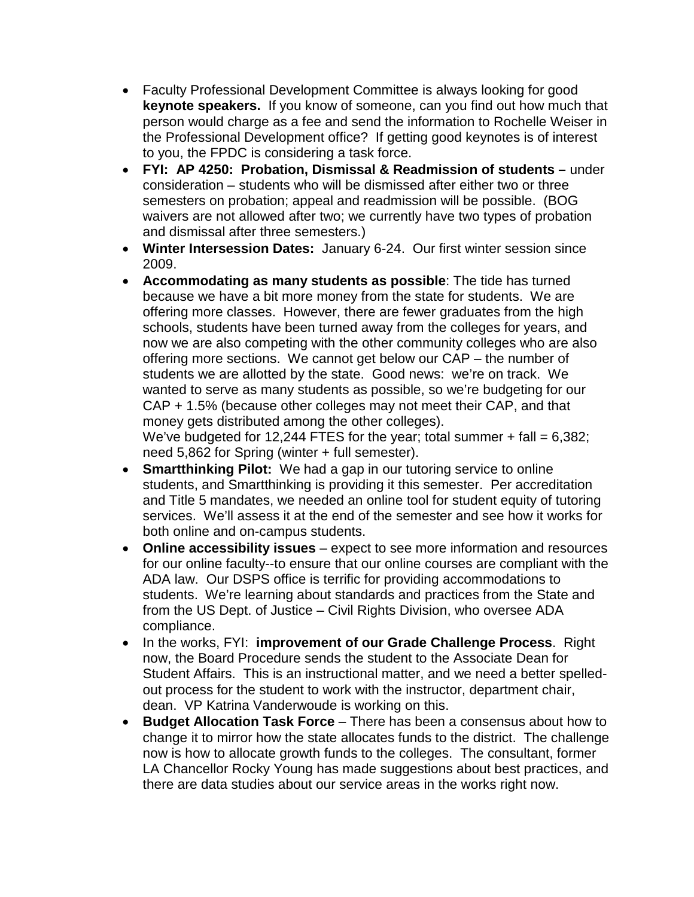- Faculty Professional Development Committee is always looking for good **keynote speakers.** If you know of someone, can you find out how much that person would charge as a fee and send the information to Rochelle Weiser in the Professional Development office? If getting good keynotes is of interest to you, the FPDC is considering a task force.
- **FYI: AP 4250: Probation, Dismissal & Readmission of students –** under consideration – students who will be dismissed after either two or three semesters on probation; appeal and readmission will be possible. (BOG waivers are not allowed after two; we currently have two types of probation and dismissal after three semesters.)
- **Winter Intersession Dates:** January 6-24. Our first winter session since 2009.
- **Accommodating as many students as possible**: The tide has turned because we have a bit more money from the state for students. We are offering more classes. However, there are fewer graduates from the high schools, students have been turned away from the colleges for years, and now we are also competing with the other community colleges who are also offering more sections. We cannot get below our CAP – the number of students we are allotted by the state. Good news: we're on track. We wanted to serve as many students as possible, so we're budgeting for our CAP + 1.5% (because other colleges may not meet their CAP, and that money gets distributed among the other colleges).

We've budgeted for 12,244 FTES for the year; total summer  $+$  fall = 6,382; need 5,862 for Spring (winter + full semester).

- **Smartthinking Pilot:** We had a gap in our tutoring service to online students, and Smartthinking is providing it this semester. Per accreditation and Title 5 mandates, we needed an online tool for student equity of tutoring services. We'll assess it at the end of the semester and see how it works for both online and on-campus students.
- **Online accessibility issues** expect to see more information and resources for our online faculty--to ensure that our online courses are compliant with the ADA law. Our DSPS office is terrific for providing accommodations to students. We're learning about standards and practices from the State and from the US Dept. of Justice – Civil Rights Division, who oversee ADA compliance.
- In the works, FYI: **improvement of our Grade Challenge Process**. Right now, the Board Procedure sends the student to the Associate Dean for Student Affairs. This is an instructional matter, and we need a better spelledout process for the student to work with the instructor, department chair, dean. VP Katrina Vanderwoude is working on this.
- **Budget Allocation Task Force** There has been a consensus about how to change it to mirror how the state allocates funds to the district. The challenge now is how to allocate growth funds to the colleges. The consultant, former LA Chancellor Rocky Young has made suggestions about best practices, and there are data studies about our service areas in the works right now.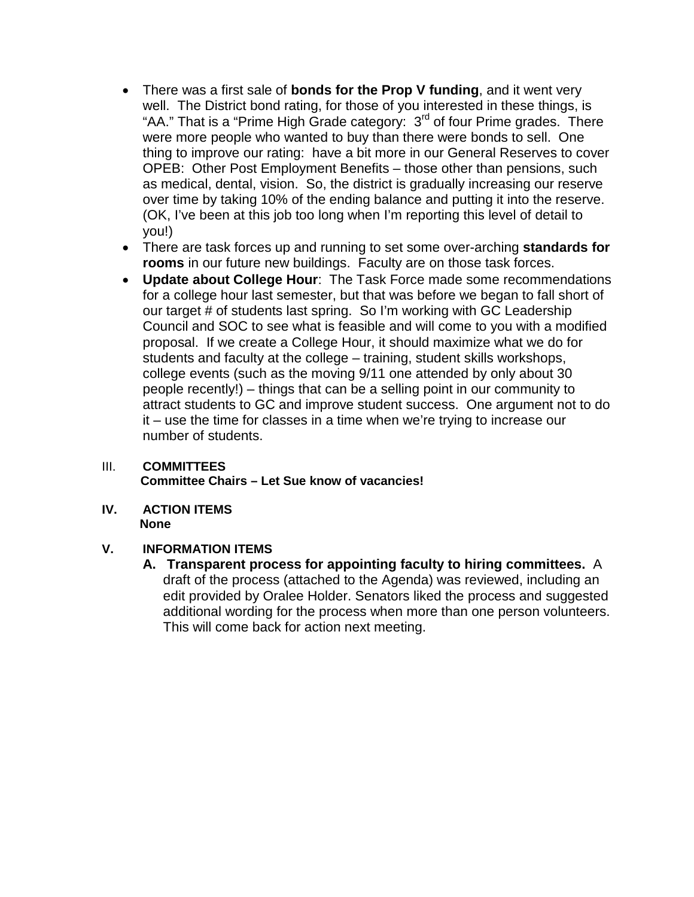- There was a first sale of **bonds for the Prop V funding**, and it went very well. The District bond rating, for those of you interested in these things, is "AA." That is a "Prime High Grade category: 3<sup>rd</sup> of four Prime grades. There were more people who wanted to buy than there were bonds to sell. One thing to improve our rating: have a bit more in our General Reserves to cover OPEB: Other Post Employment Benefits – those other than pensions, such as medical, dental, vision. So, the district is gradually increasing our reserve over time by taking 10% of the ending balance and putting it into the reserve. (OK, I've been at this job too long when I'm reporting this level of detail to you!)
- There are task forces up and running to set some over-arching **standards for rooms** in our future new buildings. Faculty are on those task forces.
- **Update about College Hour**: The Task Force made some recommendations for a college hour last semester, but that was before we began to fall short of our target # of students last spring. So I'm working with GC Leadership Council and SOC to see what is feasible and will come to you with a modified proposal. If we create a College Hour, it should maximize what we do for students and faculty at the college – training, student skills workshops, college events (such as the moving 9/11 one attended by only about 30 people recently!) – things that can be a selling point in our community to attract students to GC and improve student success. One argument not to do it – use the time for classes in a time when we're trying to increase our number of students.

#### III. **COMMITTEES Committee Chairs – Let Sue know of vacancies!**

**IV. ACTION ITEMS None**

### **V. INFORMATION ITEMS**

**A. Transparent process for appointing faculty to hiring committees.** A draft of the process (attached to the Agenda) was reviewed, including an edit provided by Oralee Holder. Senators liked the process and suggested additional wording for the process when more than one person volunteers. This will come back for action next meeting.